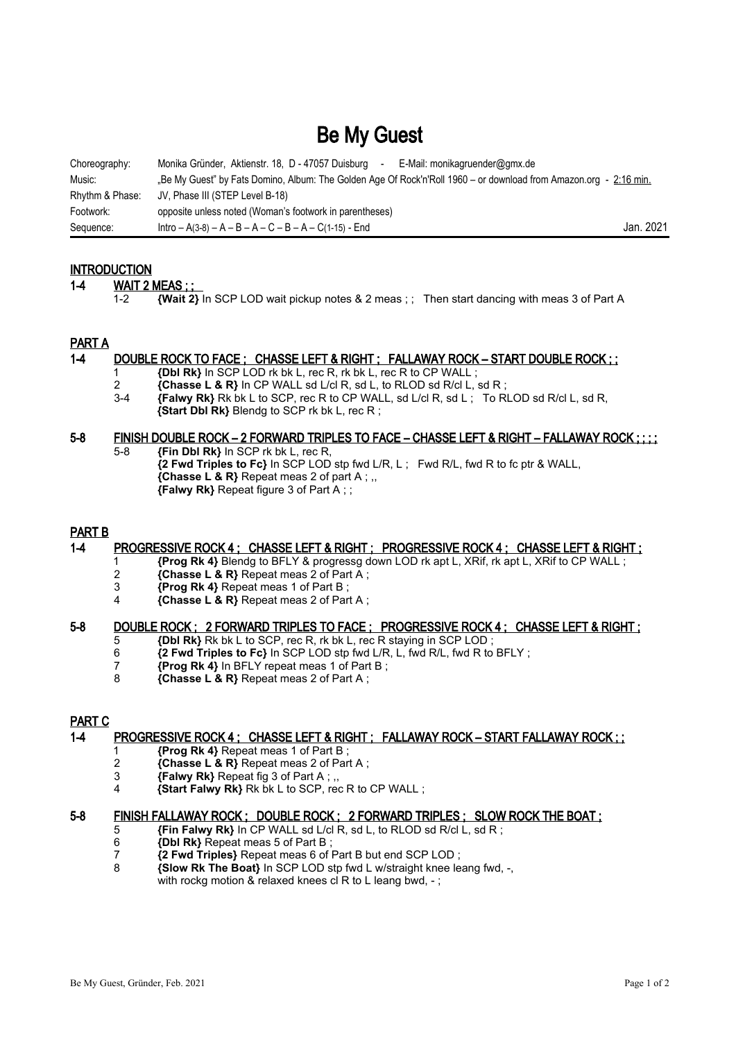# Be My Guest

| Choreography:   | Monika Gründer, Aktienstr. 18, D - 47057 Duisburg<br>E-Mail: monikagruender@gmx.de<br>$\sim$                      |           |
|-----------------|-------------------------------------------------------------------------------------------------------------------|-----------|
| Music:          | "Be My Guest" by Fats Domino, Album: The Golden Age Of Rock'n'Roll 1960 – or download from Amazon.org - 2:16 min. |           |
| Rhythm & Phase: | JV, Phase III (STEP Level B-18)                                                                                   |           |
| Footwork:       | opposite unless noted (Woman's footwork in parentheses)                                                           |           |
| Sequence:       | $Intro - A(3-8) - A - B - A - C - B - A - C(1-15) - End$                                                          | Jan. 2021 |

# **INTRODUCTION**

#### 1-4 **WAIT 2 MEAS ; ;**

1-2 **{Wait 2}** In SCP LOD wait pickup notes & 2 meas ; ; Then start dancing with meas 3 of Part A

# PART A

#### 1-4 DOUBLE ROCK TO FACE ; CHASSE LEFT & RIGHT ; FALLAWAY ROCK – START DOUBLE ROCK ; ;

- 1 **{Dbl Rk}** In SCP LOD rk bk L, rec R, rk bk L, rec R to CP WALL ;<br>2 **{Chasse L & R}** In CP WALL sd L/cl R, sd L, to RLOD sd R/cl L, i
- 2 **{Chasse L & R}** In CP WALL sd L/cl R, sd L, to RLOD sd R/cl L, sd R ;
- 3-4 **{Falwy Rk}** Rk bk L to SCP, rec R to CP WALL, sd L/cl R, sd L ; To RLOD sd R/cl L, sd R, **{Start Dbl Rk}** Blendg to SCP rk bk L, rec R ;

#### 5-8 FINISH DOUBLE ROCK – 2 FORWARD TRIPLES TO FACE – CHASSE LEFT & RIGHT – FALLAWAY ROCK ; ; ; ;

5-8 **{Fin Dbl Rk}** In SCP rk bk L, rec R, **{2 Fwd Triples to Fc}** In SCP LOD stp fwd L/R, L ; Fwd R/L, fwd R to fc ptr & WALL, **{Chasse L & R}** Repeat meas 2 of part A ; ,, **{Falwy Rk}** Repeat figure 3 of Part A ; ;

# PART B

#### 1-4 PROGRESSIVE ROCK 4 ; CHASSE LEFT & RIGHT ; PROGRESSIVE ROCK 4 ; CHASSE LEFT & RIGHT ;

- 1 **{Prog Rk 4}** Blendg to BFLY & progressg down LOD rk apt L, XRif, rk apt L, XRif to CP WALL ;
- 2 **{Chasse L & R}** Repeat meas 2 of Part A ;<br>3 *{Prog Rk 4}* Repeat meas 1 of Part B :
- **3 {Prog Rk 4}** Repeat meas 1 of Part B;<br>4 *Chasse L & RI Repeat meas 2 of Part*
- 4 **{Chasse L & R}** Repeat meas 2 of Part A ;

# 5-8 DOUBLE ROCK ; 2 FORWARD TRIPLES TO FACE ; PROGRESSIVE ROCK 4 ; CHASSE LEFT & RIGHT ;

- 5 **{Dbl Rk}** Rk bk L to SCP, rec R, rk bk L, rec R staying in SCP LOD ;
- 6 **{2 Fwd Triples to Fc}** In SCP LOD stp fwd L/R, L, fwd R/L, fwd R to BFLY ;
- 7 **{Prog Rk 4}** In BFLY repeat meas 1 of Part B ;
- 8 **{Chasse L & R}** Repeat meas 2 of Part A ;

# PART C

# 1-4 PROGRESSIVE ROCK 4 ; CHASSE LEFT & RIGHT ; FALLAWAY ROCK – START FALLAWAY ROCK ; ;

- 1 **{Prog Rk 4}** Repeat meas 1 of Part B;<br>2 **{Chasse L & R}** Repeat meas 2 of Part
- 2 **{Chasse L & R}** Repeat meas 2 of Part A ;
- 3 **{Falwy Rk}** Repeat fig 3 of Part A ; ,,
- 4 **{Start Falwy Rk}** Rk bk L to SCP, rec R to CP WALL ;

#### 5-8 FINISH FALLAWAY ROCK ; DOUBLE ROCK ; 2 FORWARD TRIPLES ; SLOW ROCK THE BOAT ;

- 5 **{Fin Falwy Rk}** In CP WALL sd L/cl R, sd L, to RLOD sd R/cl L, sd R ;
- 6 **{Dbl Rk}** Repeat meas 5 of Part B ;
- 7 **{2 Fwd Triples}** Repeat meas 6 of Part B but end SCP LOD ;
- 8 **{Slow Rk The Boat}** In SCP LOD stp fwd L w/straight knee leang fwd, -, with rockg motion & relaxed knees cl R to L leang bwd, -;